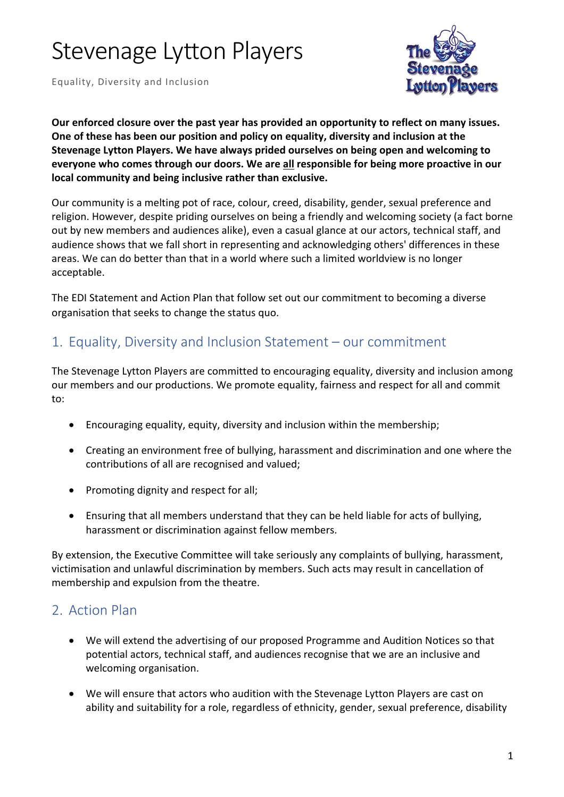# Stevenage Lytton Players

Equality, Diversity and Inclusion



**Our enforced closure over the past year has provided an opportunity to reflect on many issues. One of these has been our position and policy on equality, diversity and inclusion at the Stevenage Lytton Players. We have always prided ourselves on being open and welcoming to everyone who comes through our doors. We are all responsible for being more proactive in our local community and being inclusive rather than exclusive.**

Our community is a melting pot of race, colour, creed, disability, gender, sexual preference and religion. However, despite priding ourselves on being a friendly and welcoming society (a fact borne out by new members and audiences alike), even a casual glance at our actors, technical staff, and audience shows that we fall short in representing and acknowledging others' differences in these areas. We can do better than that in a world where such a limited worldview is no longer acceptable.

The EDI Statement and Action Plan that follow set out our commitment to becoming a diverse organisation that seeks to change the status quo.

### 1. Equality, Diversity and Inclusion Statement – our commitment

The Stevenage Lytton Players are committed to encouraging equality, diversity and inclusion among our members and our productions. We promote equality, fairness and respect for all and commit to:

- Encouraging equality, equity, diversity and inclusion within the membership;
- Creating an environment free of bullying, harassment and discrimination and one where the contributions of all are recognised and valued;
- Promoting dignity and respect for all;
- Ensuring that all members understand that they can be held liable for acts of bullying, harassment or discrimination against fellow members.

By extension, the Executive Committee will take seriously any complaints of bullying, harassment, victimisation and unlawful discrimination by members. Such acts may result in cancellation of membership and expulsion from the theatre.

### 2. Action Plan

- We will extend the advertising of our proposed Programme and Audition Notices so that potential actors, technical staff, and audiences recognise that we are an inclusive and welcoming organisation.
- We will ensure that actors who audition with the Stevenage Lytton Players are cast on ability and suitability for a role, regardless of ethnicity, gender, sexual preference, disability